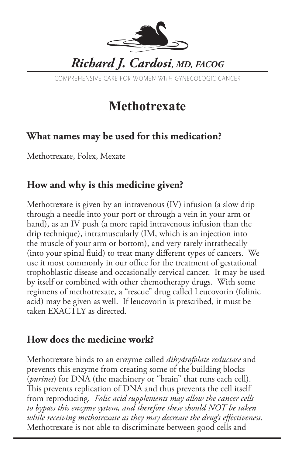

COMPREHENSIVE CARE FOR WOMEN WITH GYNECOLOGIC CANCER

# **Methotrexate**

### **What names may be used for this medication?**

Methotrexate, Folex, Mexate

#### **How and why is this medicine given?**

Methotrexate is given by an intravenous (IV) infusion (a slow drip through a needle into your port or through a vein in your arm or hand), as an IV push (a more rapid intravenous infusion than the drip technique), intramuscularly (IM, which is an injection into the muscle of your arm or bottom), and very rarely intrathecally (into your spinal fluid) to treat many different types of cancers. We use it most commonly in our office for the treatment of gestational trophoblastic disease and occasionally cervical cancer. It may be used by itself or combined with other chemotherapy drugs. With some regimens of methotrexate, a "rescue" drug called Leucovorin (folinic acid) may be given as well. If leucovorin is prescribed, it must be taken EXACTLY as directed.

#### **How does the medicine work?**

Methotrexate binds to an enzyme called *dihydrofolate reductase* and prevents this enzyme from creating some of the building blocks (*purines*) for DNA (the machinery or "brain" that runs each cell). This prevents replication of DNA and thus prevents the cell itself from reproducing. *Folic acid supplements may allow the cancer cells to bypass this enzyme system, and therefore these should NOT be taken while receiving methotrexate as they may decrease the drug's effectiveness*. Methotrexate is not able to discriminate between good cells and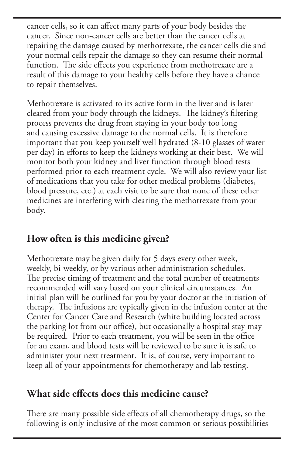cancer cells, so it can affect many parts of your body besides the cancer. Since non-cancer cells are better than the cancer cells at repairing the damage caused by methotrexate, the cancer cells die and your normal cells repair the damage so they can resume their normal function. The side effects you experience from methotrexate are a result of this damage to your healthy cells before they have a chance to repair themselves.

Methotrexate is activated to its active form in the liver and is later cleared from your body through the kidneys. The kidney's filtering process prevents the drug from staying in your body too long and causing excessive damage to the normal cells. It is therefore important that you keep yourself well hydrated (8-10 glasses of water per day) in efforts to keep the kidneys working at their best. We will monitor both your kidney and liver function through blood tests performed prior to each treatment cycle. We will also review your list of medications that you take for other medical problems (diabetes, blood pressure, etc.) at each visit to be sure that none of these other medicines are interfering with clearing the methotrexate from your body.

## **How often is this medicine given?**

Methotrexate may be given daily for 5 days every other week, weekly, bi-weekly, or by various other administration schedules. The precise timing of treatment and the total number of treatments recommended will vary based on your clinical circumstances. An initial plan will be outlined for you by your doctor at the initiation of therapy. The infusions are typically given in the infusion center at the Center for Cancer Care and Research (white building located across the parking lot from our office), but occasionally a hospital stay may be required. Prior to each treatment, you will be seen in the office for an exam, and blood tests will be reviewed to be sure it is safe to administer your next treatment. It is, of course, very important to keep all of your appointments for chemotherapy and lab testing.

#### **What side effects does this medicine cause?**

There are many possible side effects of all chemotherapy drugs, so the following is only inclusive of the most common or serious possibilities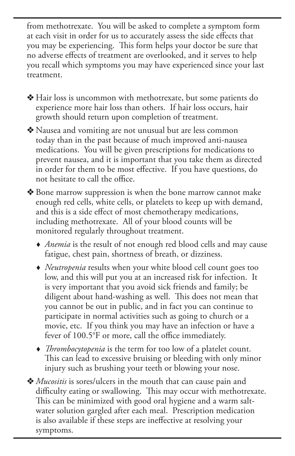from methotrexate. You will be asked to complete a symptom form at each visit in order for us to accurately assess the side effects that you may be experiencing. This form helps your doctor be sure that no adverse effects of treatment are overlooked, and it serves to help you recall which symptoms you may have experienced since your last treatment.

- ◆ Hair loss is uncommon with methotrexate, but some patients do experience more hair loss than others. If hair loss occurs, hair growth should return upon completion of treatment.
- v Nausea and vomiting are not unusual but are less common today than in the past because of much improved anti-nausea medications. You will be given prescriptions for medications to prevent nausea, and it is important that you take them as directed in order for them to be most effective. If you have questions, do not hesitate to call the office.
- v Bone marrow suppression is when the bone marrow cannot make enough red cells, white cells, or platelets to keep up with demand, and this is a side effect of most chemotherapy medications, including methotrexate. All of your blood counts will be monitored regularly throughout treatment.
	- *Anemia* is the result of not enough red blood cells and may cause fatigue, chest pain, shortness of breath, or dizziness.
	- *Neutropenia* results when your white blood cell count goes too low, and this will put you at an increased risk for infection. It is very important that you avoid sick friends and family; be diligent about hand-washing as well. This does not mean that you cannot be out in public, and in fact you can continue to participate in normal activities such as going to church or a movie, etc. If you think you may have an infection or have a fever of 100.5°F or more, call the office immediately.
	- *Thrombocytopenia* is the term for too low of a platelet count. This can lead to excessive bruising or bleeding with only minor injury such as brushing your teeth or blowing your nose.
- ◆ *Mucositis* is sores/ulcers in the mouth that can cause pain and difficulty eating or swallowing. This may occur with methotrexate. This can be minimized with good oral hygiene and a warm saltwater solution gargled after each meal. Prescription medication is also available if these steps are ineffective at resolving your symptoms.